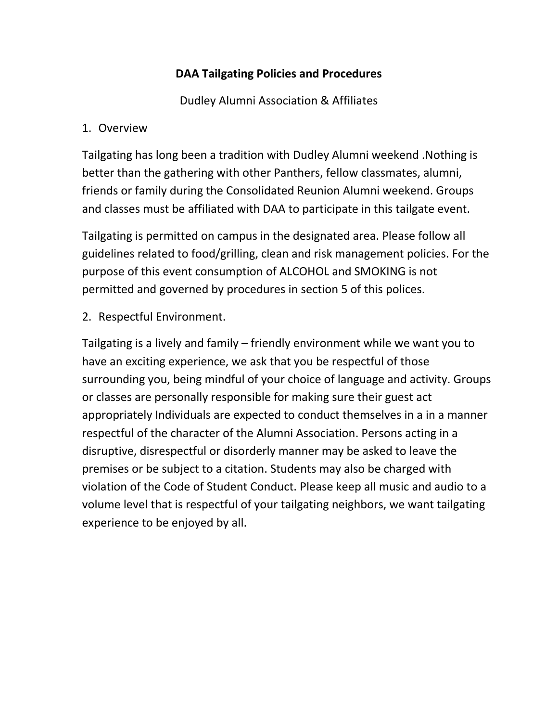## **DAA Tailgating Policies and Procedures**

Dudley Alumni Association & Affiliates

## 1. Overview

Tailgating has long been a tradition with Dudley Alumni weekend .Nothing is better than the gathering with other Panthers, fellow classmates, alumni, friends or family during the Consolidated Reunion Alumni weekend. Groups and classes must be affiliated with DAA to participate in this tailgate event.

Tailgating is permitted on campus in the designated area. Please follow all guidelines related to food/grilling, clean and risk management policies. For the purpose of this event consumption of ALCOHOL and SMOKING is not permitted and governed by procedures in section 5 of this polices.

2. Respectful Environment.

Tailgating is a lively and family – friendly environment while we want you to have an exciting experience, we ask that you be respectful of those surrounding you, being mindful of your choice of language and activity. Groups or classes are personally responsible for making sure their guest act appropriately Individuals are expected to conduct themselves in a in a manner respectful of the character of the Alumni Association. Persons acting in a disruptive, disrespectful or disorderly manner may be asked to leave the premises or be subject to a citation. Students may also be charged with violation of the Code of Student Conduct. Please keep all music and audio to a volume level that is respectful of your tailgating neighbors, we want tailgating experience to be enjoyed by all.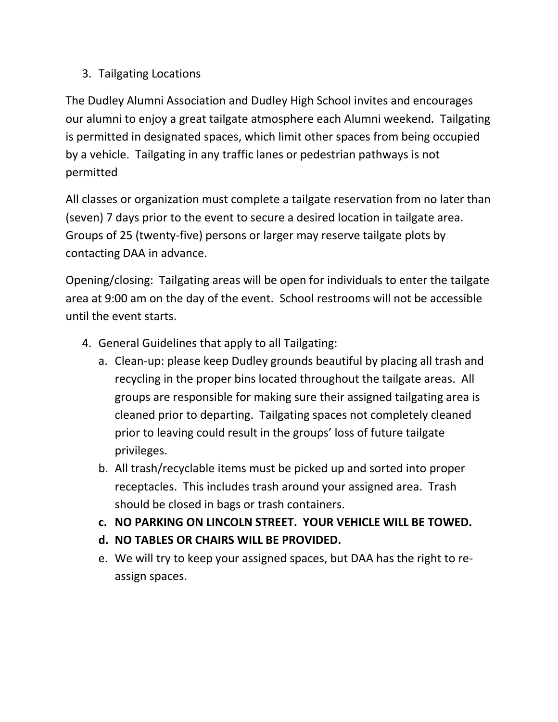## 3. Tailgating Locations

The Dudley Alumni Association and Dudley High School invites and encourages our alumni to enjoy a great tailgate atmosphere each Alumni weekend. Tailgating is permitted in designated spaces, which limit other spaces from being occupied by a vehicle. Tailgating in any traffic lanes or pedestrian pathways is not permitted

All classes or organization must complete a tailgate reservation from no later than (seven) 7 days prior to the event to secure a desired location in tailgate area. Groups of 25 (twenty-five) persons or larger may reserve tailgate plots by contacting DAA in advance.

Opening/closing: Tailgating areas will be open for individuals to enter the tailgate area at 9:00 am on the day of the event. School restrooms will not be accessible until the event starts.

- 4. General Guidelines that apply to all Tailgating:
	- a. Clean-up: please keep Dudley grounds beautiful by placing all trash and recycling in the proper bins located throughout the tailgate areas. All groups are responsible for making sure their assigned tailgating area is cleaned prior to departing. Tailgating spaces not completely cleaned prior to leaving could result in the groups' loss of future tailgate privileges.
	- b. All trash/recyclable items must be picked up and sorted into proper receptacles. This includes trash around your assigned area. Trash should be closed in bags or trash containers.
	- **c. NO PARKING ON LINCOLN STREET. YOUR VEHICLE WILL BE TOWED.**
	- **d. NO TABLES OR CHAIRS WILL BE PROVIDED.**
	- e. We will try to keep your assigned spaces, but DAA has the right to reassign spaces.